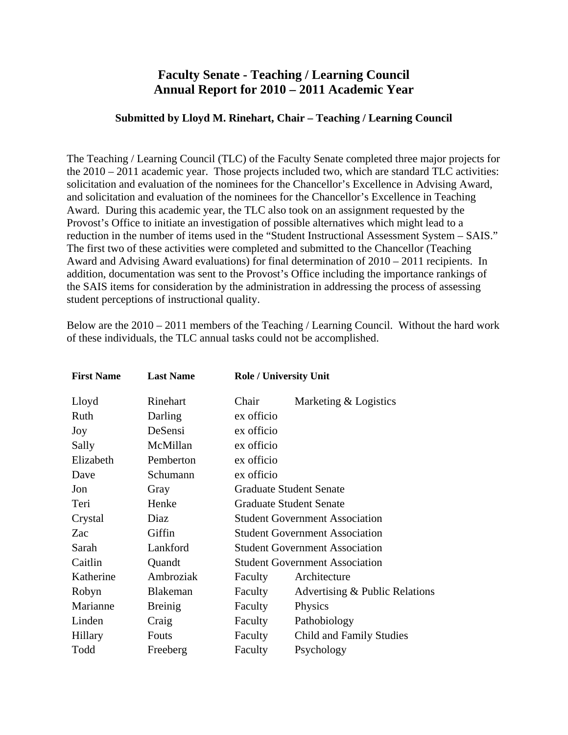## **Faculty Senate - Teaching / Learning Council Annual Report for 2010 – 2011 Academic Year**

## **Submitted by Lloyd M. Rinehart, Chair – Teaching / Learning Council**

The Teaching / Learning Council (TLC) of the Faculty Senate completed three major projects for the 2010 – 2011 academic year. Those projects included two, which are standard TLC activities: solicitation and evaluation of the nominees for the Chancellor's Excellence in Advising Award, and solicitation and evaluation of the nominees for the Chancellor's Excellence in Teaching Award. During this academic year, the TLC also took on an assignment requested by the Provost's Office to initiate an investigation of possible alternatives which might lead to a reduction in the number of items used in the "Student Instructional Assessment System – SAIS." The first two of these activities were completed and submitted to the Chancellor (Teaching Award and Advising Award evaluations) for final determination of 2010 – 2011 recipients. In addition, documentation was sent to the Provost's Office including the importance rankings of the SAIS items for consideration by the administration in addressing the process of assessing student perceptions of instructional quality.

| <b>First Name</b> | <b>Last Name</b> |                                       | <b>Role / University Unit</b>         |  |
|-------------------|------------------|---------------------------------------|---------------------------------------|--|
| Lloyd             | Rinehart         | Chair                                 | Marketing & Logistics                 |  |
| Ruth              | Darling          | ex officio                            |                                       |  |
| Joy               | DeSensi          | ex officio                            |                                       |  |
| Sally             | McMillan         | ex officio                            |                                       |  |
| Elizabeth         | Pemberton        | ex officio                            |                                       |  |
| Dave              | Schumann         | ex officio                            |                                       |  |
| Jon               | Gray             | <b>Graduate Student Senate</b>        |                                       |  |
| Teri              | Henke            |                                       | <b>Graduate Student Senate</b>        |  |
| Crystal           | Diaz             | <b>Student Government Association</b> |                                       |  |
| Zac               | Giffin           | <b>Student Government Association</b> |                                       |  |
| Sarah             | Lankford         | <b>Student Government Association</b> |                                       |  |
| Caitlin           | Quandt           |                                       | <b>Student Government Association</b> |  |
| Katherine         | Ambroziak        | Faculty                               | Architecture                          |  |
| Robyn             | Blakeman         | Faculty                               | Advertising & Public Relations        |  |
| Marianne          | <b>Breinig</b>   | Faculty                               | Physics                               |  |
| Linden            | Craig            | Faculty                               | Pathobiology                          |  |
| Hillary           | Fouts            | Faculty                               | Child and Family Studies              |  |
| Todd              | Freeberg         | Faculty                               | Psychology                            |  |

Below are the 2010 – 2011 members of the Teaching / Learning Council. Without the hard work of these individuals, the TLC annual tasks could not be accomplished.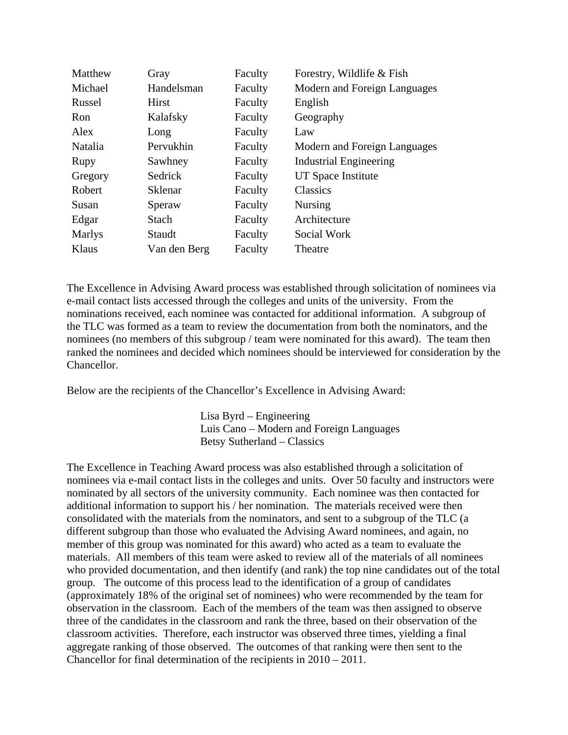| Matthew       | Gray         | Faculty | Forestry, Wildlife & Fish     |
|---------------|--------------|---------|-------------------------------|
| Michael       | Handelsman   | Faculty | Modern and Foreign Languages  |
| Russel        | <b>Hirst</b> | Faculty | English                       |
| Ron           | Kalafsky     | Faculty | Geography                     |
| Alex          | Long         | Faculty | Law                           |
| Natalia       | Pervukhin    | Faculty | Modern and Foreign Languages  |
| Rupy          | Sawhney      | Faculty | <b>Industrial Engineering</b> |
| Gregory       | Sedrick      | Faculty | UT Space Institute            |
| Robert        | Sklenar      | Faculty | Classics                      |
| Susan         | Speraw       | Faculty | <b>Nursing</b>                |
| Edgar         | <b>Stach</b> | Faculty | Architecture                  |
| <b>Marlys</b> | Staudt       | Faculty | Social Work                   |
| Klaus         | Van den Berg | Faculty | Theatre                       |

The Excellence in Advising Award process was established through solicitation of nominees via e-mail contact lists accessed through the colleges and units of the university. From the nominations received, each nominee was contacted for additional information. A subgroup of the TLC was formed as a team to review the documentation from both the nominators, and the nominees (no members of this subgroup / team were nominated for this award). The team then ranked the nominees and decided which nominees should be interviewed for consideration by the Chancellor.

Below are the recipients of the Chancellor's Excellence in Advising Award:

 Lisa Byrd – Engineering Luis Cano – Modern and Foreign Languages Betsy Sutherland – Classics

The Excellence in Teaching Award process was also established through a solicitation of nominees via e-mail contact lists in the colleges and units. Over 50 faculty and instructors were nominated by all sectors of the university community. Each nominee was then contacted for additional information to support his / her nomination. The materials received were then consolidated with the materials from the nominators, and sent to a subgroup of the TLC (a different subgroup than those who evaluated the Advising Award nominees, and again, no member of this group was nominated for this award) who acted as a team to evaluate the materials. All members of this team were asked to review all of the materials of all nominees who provided documentation, and then identify (and rank) the top nine candidates out of the total group. The outcome of this process lead to the identification of a group of candidates (approximately 18% of the original set of nominees) who were recommended by the team for observation in the classroom. Each of the members of the team was then assigned to observe three of the candidates in the classroom and rank the three, based on their observation of the classroom activities. Therefore, each instructor was observed three times, yielding a final aggregate ranking of those observed. The outcomes of that ranking were then sent to the Chancellor for final determination of the recipients in 2010 – 2011.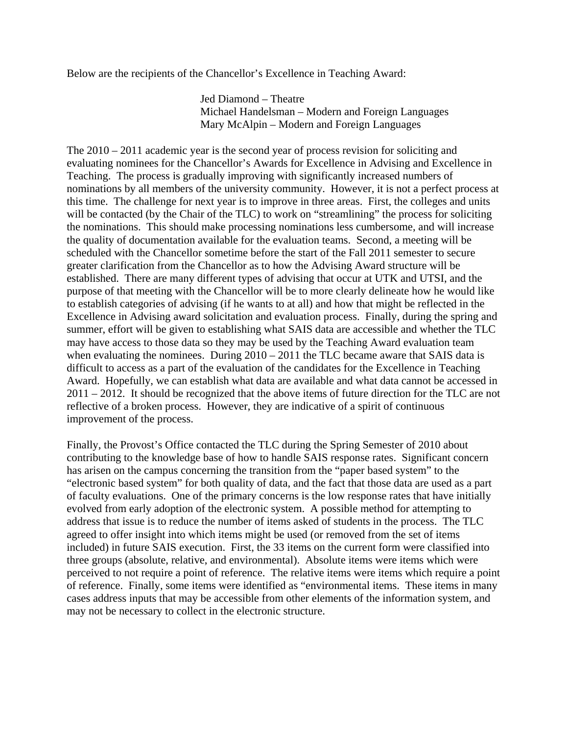Below are the recipients of the Chancellor's Excellence in Teaching Award:

Jed Diamond – Theatre Michael Handelsman – Modern and Foreign Languages Mary McAlpin – Modern and Foreign Languages

The 2010 – 2011 academic year is the second year of process revision for soliciting and evaluating nominees for the Chancellor's Awards for Excellence in Advising and Excellence in Teaching. The process is gradually improving with significantly increased numbers of nominations by all members of the university community. However, it is not a perfect process at this time. The challenge for next year is to improve in three areas. First, the colleges and units will be contacted (by the Chair of the TLC) to work on "streamlining" the process for soliciting the nominations. This should make processing nominations less cumbersome, and will increase the quality of documentation available for the evaluation teams. Second, a meeting will be scheduled with the Chancellor sometime before the start of the Fall 2011 semester to secure greater clarification from the Chancellor as to how the Advising Award structure will be established. There are many different types of advising that occur at UTK and UTSI, and the purpose of that meeting with the Chancellor will be to more clearly delineate how he would like to establish categories of advising (if he wants to at all) and how that might be reflected in the Excellence in Advising award solicitation and evaluation process. Finally, during the spring and summer, effort will be given to establishing what SAIS data are accessible and whether the TLC may have access to those data so they may be used by the Teaching Award evaluation team when evaluating the nominees. During  $2010 - 2011$  the TLC became aware that SAIS data is difficult to access as a part of the evaluation of the candidates for the Excellence in Teaching Award. Hopefully, we can establish what data are available and what data cannot be accessed in 2011 – 2012. It should be recognized that the above items of future direction for the TLC are not reflective of a broken process. However, they are indicative of a spirit of continuous improvement of the process.

Finally, the Provost's Office contacted the TLC during the Spring Semester of 2010 about contributing to the knowledge base of how to handle SAIS response rates. Significant concern has arisen on the campus concerning the transition from the "paper based system" to the "electronic based system" for both quality of data, and the fact that those data are used as a part of faculty evaluations. One of the primary concerns is the low response rates that have initially evolved from early adoption of the electronic system. A possible method for attempting to address that issue is to reduce the number of items asked of students in the process. The TLC agreed to offer insight into which items might be used (or removed from the set of items included) in future SAIS execution. First, the 33 items on the current form were classified into three groups (absolute, relative, and environmental). Absolute items were items which were perceived to not require a point of reference. The relative items were items which require a point of reference. Finally, some items were identified as "environmental items. These items in many cases address inputs that may be accessible from other elements of the information system, and may not be necessary to collect in the electronic structure.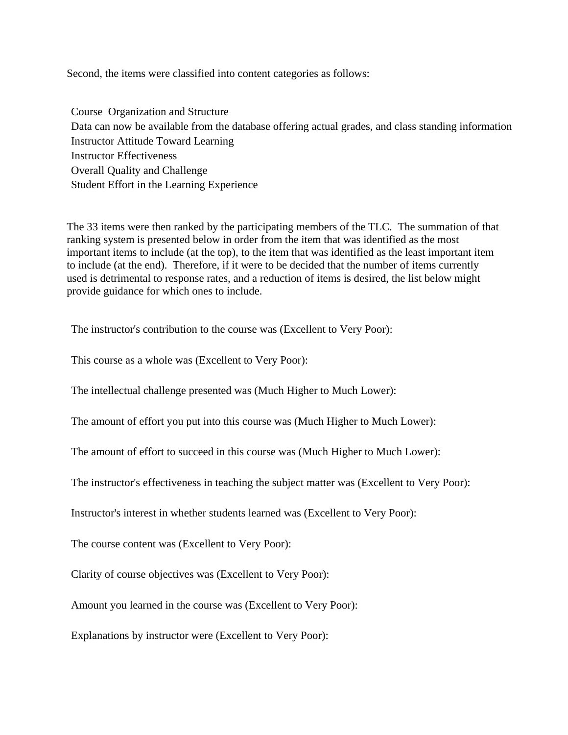Second, the items were classified into content categories as follows:

Course Organization and Structure Data can now be available from the database offering actual grades, and class standing information Instructor Attitude Toward Learning Instructor Effectiveness Overall Quality and Challenge Student Effort in the Learning Experience

The 33 items were then ranked by the participating members of the TLC. The summation of that ranking system is presented below in order from the item that was identified as the most important items to include (at the top), to the item that was identified as the least important item to include (at the end). Therefore, if it were to be decided that the number of items currently used is detrimental to response rates, and a reduction of items is desired, the list below might provide guidance for which ones to include.

The instructor's contribution to the course was (Excellent to Very Poor):

This course as a whole was (Excellent to Very Poor):

The intellectual challenge presented was (Much Higher to Much Lower):

The amount of effort you put into this course was (Much Higher to Much Lower):

The amount of effort to succeed in this course was (Much Higher to Much Lower):

The instructor's effectiveness in teaching the subject matter was (Excellent to Very Poor):

Instructor's interest in whether students learned was (Excellent to Very Poor):

The course content was (Excellent to Very Poor):

Clarity of course objectives was (Excellent to Very Poor):

Amount you learned in the course was (Excellent to Very Poor):

Explanations by instructor were (Excellent to Very Poor):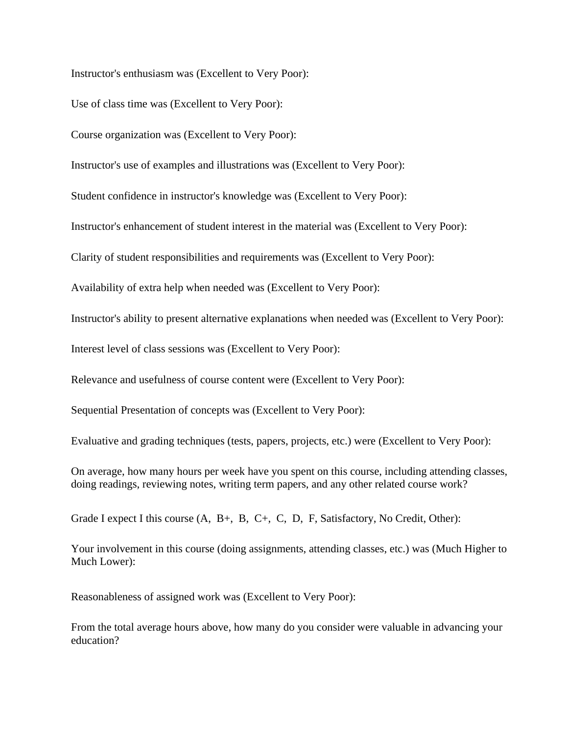Instructor's enthusiasm was (Excellent to Very Poor):

Use of class time was (Excellent to Very Poor):

Course organization was (Excellent to Very Poor):

Instructor's use of examples and illustrations was (Excellent to Very Poor):

Student confidence in instructor's knowledge was (Excellent to Very Poor):

Instructor's enhancement of student interest in the material was (Excellent to Very Poor):

Clarity of student responsibilities and requirements was (Excellent to Very Poor):

Availability of extra help when needed was (Excellent to Very Poor):

Instructor's ability to present alternative explanations when needed was (Excellent to Very Poor):

Interest level of class sessions was (Excellent to Very Poor):

Relevance and usefulness of course content were (Excellent to Very Poor):

Sequential Presentation of concepts was (Excellent to Very Poor):

Evaluative and grading techniques (tests, papers, projects, etc.) were (Excellent to Very Poor):

On average, how many hours per week have you spent on this course, including attending classes, doing readings, reviewing notes, writing term papers, and any other related course work?

Grade I expect I this course  $(A, B+, B, C+, C, D, F, S \text{atisfactory}, No Credit, Other):$ 

Your involvement in this course (doing assignments, attending classes, etc.) was (Much Higher to Much Lower):

Reasonableness of assigned work was (Excellent to Very Poor):

From the total average hours above, how many do you consider were valuable in advancing your education?